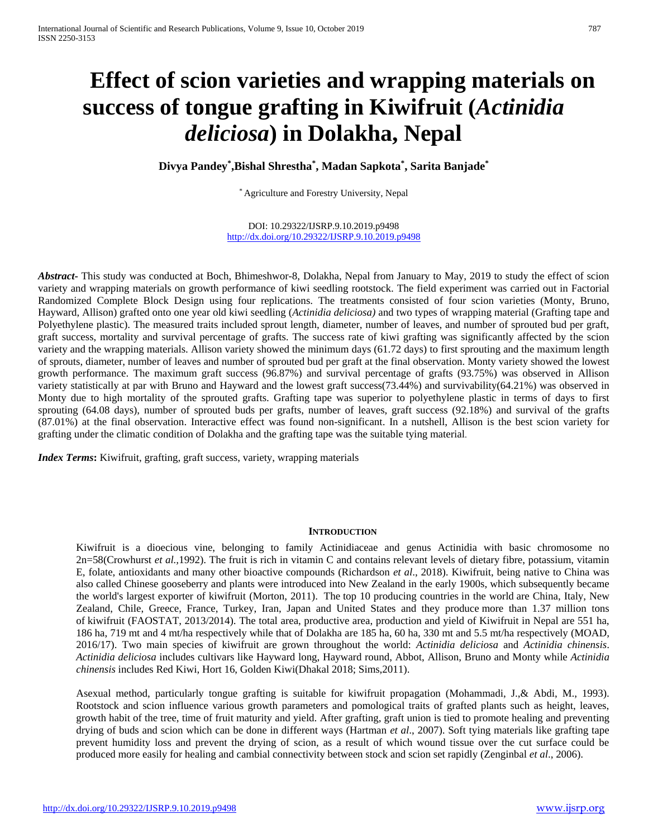# **Effect of scion varieties and wrapping materials on success of tongue grafting in Kiwifruit (***Actinidia deliciosa***) in Dolakha, Nepal**

**Divya Pandey\* ,Bishal Shrestha\* , Madan Sapkota\* , Sarita Banjade\***

\* Agriculture and Forestry University, Nepal

DOI: 10.29322/IJSRP.9.10.2019.p9498 <http://dx.doi.org/10.29322/IJSRP.9.10.2019.p9498>

*Abstract***-** This study was conducted at Boch, Bhimeshwor-8, Dolakha, Nepal from January to May, 2019 to study the effect of scion variety and wrapping materials on growth performance of kiwi seedling rootstock. The field experiment was carried out in Factorial Randomized Complete Block Design using four replications. The treatments consisted of four scion varieties (Monty, Bruno, Hayward, Allison) grafted onto one year old kiwi seedling (*Actinidia deliciosa)* and two types of wrapping material (Grafting tape and Polyethylene plastic). The measured traits included sprout length, diameter, number of leaves, and number of sprouted bud per graft, graft success, mortality and survival percentage of grafts. The success rate of kiwi grafting was significantly affected by the scion variety and the wrapping materials. Allison variety showed the minimum days (61.72 days) to first sprouting and the maximum length of sprouts, diameter, number of leaves and number of sprouted bud per graft at the final observation. Monty variety showed the lowest growth performance. The maximum graft success (96.87%) and survival percentage of grafts (93.75%) was observed in Allison variety statistically at par with Bruno and Hayward and the lowest graft success(73.44%) and survivability(64.21%) was observed in Monty due to high mortality of the sprouted grafts. Grafting tape was superior to polyethylene plastic in terms of days to first sprouting (64.08 days), number of sprouted buds per grafts, number of leaves, graft success (92.18%) and survival of the grafts (87.01%) at the final observation. Interactive effect was found non-significant. In a nutshell, Allison is the best scion variety for grafting under the climatic condition of Dolakha and the grafting tape was the suitable tying material.

*Index Terms*: Kiwifruit, grafting, graft success, variety, wrapping materials

#### **INTRODUCTION**

Kiwifruit is a dioecious vine, belonging to family Actinidiaceae and genus Actinidia with basic chromosome no 2n=58(Crowhurst *et al.,*1992). The fruit is rich in vitamin C and contains relevant levels of dietary fibre, potassium, vitamin E, folate, antioxidants and many other bioactive compounds (Richardson *et al*., 2018). Kiwifruit, being native to China was also called Chinese gooseberry and plants were introduced into New Zealand in the early 1900s, which subsequently became the world's largest exporter of kiwifruit (Morton, 2011). The top 10 producing countries in the world are China, Italy, New Zealand, Chile, Greece, France, Turkey, Iran, Japan and United States and they produce more than 1.37 million tons of kiwifruit (FAOSTAT, 2013/2014). The total area, productive area, production and yield of Kiwifruit in Nepal are 551 ha, 186 ha, 719 mt and 4 mt/ha respectively while that of Dolakha are 185 ha, 60 ha, 330 mt and 5.5 mt/ha respectively (MOAD, 2016/17). Two main species of kiwifruit are grown throughout the world: *Actinidia deliciosa* and *Actinidia chinensis*. *Actinidia deliciosa* includes cultivars like Hayward long, Hayward round, Abbot, Allison, Bruno and Monty while *Actinidia chinensis* includes Red Kiwi, Hort 16, Golden Kiwi(Dhakal 2018; Sims,2011).

Asexual method, particularly tongue grafting is suitable for kiwifruit propagation (Mohammadi, J.,& Abdi, M., 1993). Rootstock and scion influence various growth parameters and pomological traits of grafted plants such as height, leaves, growth habit of the tree, time of fruit maturity and yield. After grafting, graft union is tied to promote healing and preventing drying of buds and scion which can be done in different ways (Hartman *et al*., 2007). Soft tying materials like grafting tape prevent humidity loss and prevent the drying of scion, as a result of which wound tissue over the cut surface could be produced more easily for healing and cambial connectivity between stock and scion set rapidly (Zenginbal *et al*., 2006).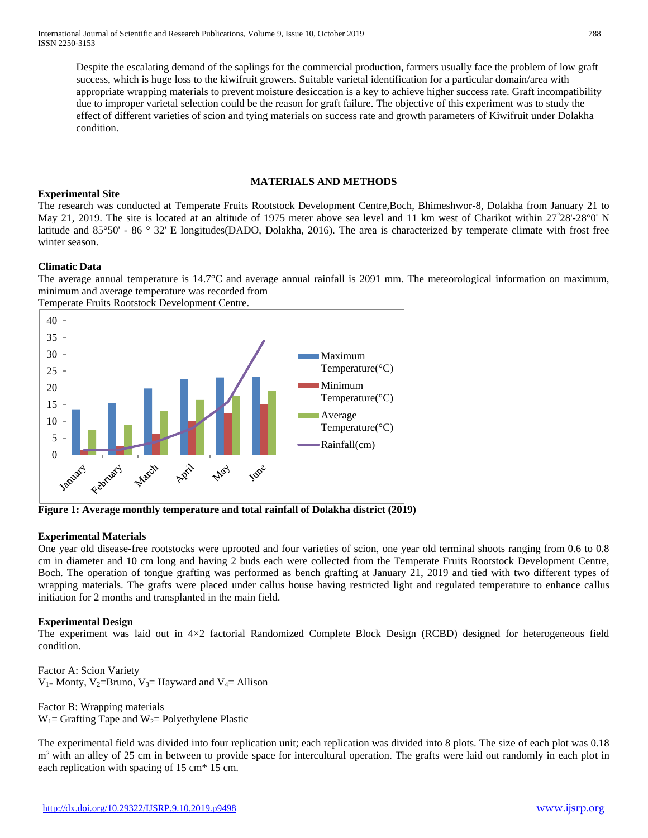Despite the escalating demand of the saplings for the commercial production, farmers usually face the problem of low graft success, which is huge loss to the kiwifruit growers. Suitable varietal identification for a particular domain/area with appropriate wrapping materials to prevent moisture desiccation is a key to achieve higher success rate. Graft incompatibility due to improper varietal selection could be the reason for graft failure. The objective of this experiment was to study the effect of different varieties of scion and tying materials on success rate and growth parameters of Kiwifruit under Dolakha condition.

#### **MATERIALS AND METHODS**

## **Experimental Site**

The research was conducted at Temperate Fruits Rootstock Development Centre,Boch, Bhimeshwor-8, Dolakha from January 21 to May 21, 2019. The site is located at an altitude of 1975 meter above sea level and 11 km west of Charikot within 27°28'-28°0' N latitude and 85°50' - 86 ° 32' E longitudes(DADO, Dolakha, 2016). The area is characterized by temperate climate with frost free winter season.

## **Climatic Data**

The average annual temperature is 14.7°C and average annual rainfall is 2091 mm. The meteorological information on maximum, minimum and average temperature was recorded from

Temperate Fruits Rootstock Development Centre.



**Figure 1: Average monthly temperature and total rainfall of Dolakha district (2019)**

## **Experimental Materials**

One year old disease-free rootstocks were uprooted and four varieties of scion, one year old terminal shoots ranging from 0.6 to 0.8 cm in diameter and 10 cm long and having 2 buds each were collected from the Temperate Fruits Rootstock Development Centre, Boch. The operation of tongue grafting was performed as bench grafting at January 21, 2019 and tied with two different types of wrapping materials. The grafts were placed under callus house having restricted light and regulated temperature to enhance callus initiation for 2 months and transplanted in the main field.

## **Experimental Design**

The experiment was laid out in 4×2 factorial Randomized Complete Block Design (RCBD) designed for heterogeneous field condition.

Factor A: Scion Variety  $V_{1=}$  Monty,  $V_{2=}$ Bruno,  $V_{3=}$  Hayward and  $V_{4=}$  Allison

Factor B: Wrapping materials  $W_1$ = Grafting Tape and  $W_2$ = Polyethylene Plastic

The experimental field was divided into four replication unit; each replication was divided into 8 plots. The size of each plot was 0.18 m<sup>2</sup> with an alley of 25 cm in between to provide space for intercultural operation. The grafts were laid out randomly in each plot in each replication with spacing of 15 cm\* 15 cm.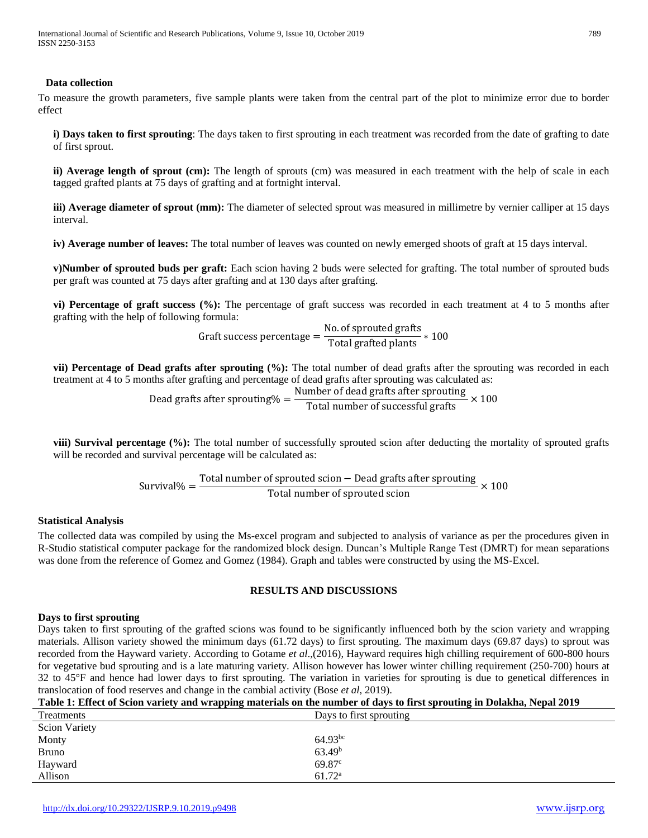### **Data collection**

To measure the growth parameters, five sample plants were taken from the central part of the plot to minimize error due to border effect

**i) Days taken to first sprouting**: The days taken to first sprouting in each treatment was recorded from the date of grafting to date of first sprout.

**ii) Average length of sprout (cm):** The length of sprouts (cm) was measured in each treatment with the help of scale in each tagged grafted plants at 75 days of grafting and at fortnight interval.

**iii) Average diameter of sprout (mm):** The diameter of selected sprout was measured in millimetre by vernier calliper at 15 days interval.

**iv) Average number of leaves:** The total number of leaves was counted on newly emerged shoots of graft at 15 days interval.

**v)Number of sprouted buds per graft:** Each scion having 2 buds were selected for grafting. The total number of sprouted buds per graft was counted at 75 days after grafting and at 130 days after grafting.

**vi) Percentage of graft success (%):** The percentage of graft success was recorded in each treatment at 4 to 5 months after grafting with the help of following formula:

Graft success percentage =  $\frac{\text{No. of sproved gratts}}{\text{Total gratted plants}} * 100$ 

**vii) Percentage of Dead grafts after sprouting (%):** The total number of dead grafts after the sprouting was recorded in each treatment at 4 to 5 months after grafting and percentage of dead grafts after sprouting was calculated as:

Dead grafts after sprouting $% = \frac{\text{Number of dead grafts after sprouting}}{\text{Total number of successful grafts}} \times 100$ 

**viii) Survival percentage (%):** The total number of successfully sprouted scion after deducting the mortality of sprouted grafts will be recorded and survival percentage will be calculated as:

> Survival% =  $\frac{T_{\text{total number of sprouted scion} - \text{Dead gratts after sprouting}}{T_{\text{total number of sprouted dcsive}}}$  $\frac{1}{2}$   $\times$  100<br>Total number of sprouted scion

## **Statistical Analysis**

The collected data was compiled by using the Ms-excel program and subjected to analysis of variance as per the procedures given in R-Studio statistical computer package for the randomized block design. Duncan's Multiple Range Test (DMRT) for mean separations was done from the reference of Gomez and Gomez (1984). Graph and tables were constructed by using the MS-Excel.

## **RESULTS AND DISCUSSIONS**

#### **Days to first sprouting**

Days taken to first sprouting of the grafted scions was found to be significantly influenced both by the scion variety and wrapping materials. Allison variety showed the minimum days (61.72 days) to first sprouting. The maximum days (69.87 days) to sprout was recorded from the Hayward variety. According to Gotame *et al*.,(2016), Hayward requires high chilling requirement of 600-800 hours for vegetative bud sprouting and is a late maturing variety. Allison however has lower winter chilling requirement (250-700) hours at 32 to 45°F and hence had lower days to first sprouting. The variation in varieties for sprouting is due to genetical differences in translocation of food reserves and change in the cambial activity (Bose *et al*, 2019).

| Table 1: Effect of Scion variety and wrapping materials on the number of days to first sprouting in Dolakha, Nepal 2019 |
|-------------------------------------------------------------------------------------------------------------------------|
|-------------------------------------------------------------------------------------------------------------------------|

| Treatments           | Days to first sprouting |
|----------------------|-------------------------|
| <b>Scion Variety</b> |                         |
| Monty                | $64.93^{bc}$            |
| <b>Bruno</b>         | 63.49 <sup>b</sup>      |
| Hayward              | 69.87c                  |
| Allison              | 61.72 <sup>a</sup>      |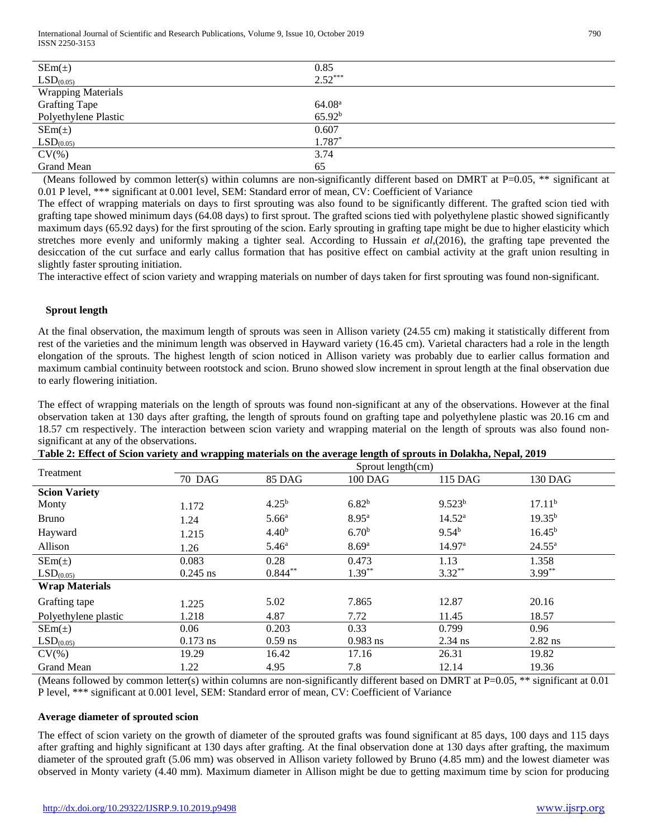| $SEm(\pm)$                | 0.85               |
|---------------------------|--------------------|
| LSD <sub>(0.05)</sub>     | $2.52***$          |
| <b>Wrapping Materials</b> |                    |
| <b>Grafting Tape</b>      | 64.08 <sup>a</sup> |
| Polyethylene Plastic      | 65.92 <sup>b</sup> |
| $SEm(\pm)$                | 0.607              |
| LSD <sub>(0.05)</sub>     | $1.787*$           |
| $CV(\%)$                  | 3.74               |
| Grand Mean                | 65                 |

(Means followed by common letter(s) within columns are non-significantly different based on DMRT at  $P=0.05$ , \*\* significant at 0.01 P level, \*\*\* significant at 0.001 level, SEM: Standard error of mean, CV: Coefficient of Variance

The effect of wrapping materials on days to first sprouting was also found to be significantly different. The grafted scion tied with grafting tape showed minimum days (64.08 days) to first sprout. The grafted scions tied with polyethylene plastic showed significantly maximum days (65.92 days) for the first sprouting of the scion. Early sprouting in grafting tape might be due to higher elasticity which stretches more evenly and uniformly making a tighter seal. According to Hussain *et al*,(2016), the grafting tape prevented the desiccation of the cut surface and early callus formation that has positive effect on cambial activity at the graft union resulting in slightly faster sprouting initiation.

The interactive effect of scion variety and wrapping materials on number of days taken for first sprouting was found non-significant.

# **Sprout length**

At the final observation, the maximum length of sprouts was seen in Allison variety (24.55 cm) making it statistically different from rest of the varieties and the minimum length was observed in Hayward variety (16.45 cm). Varietal characters had a role in the length elongation of the sprouts. The highest length of scion noticed in Allison variety was probably due to earlier callus formation and maximum cambial continuity between rootstock and scion. Bruno showed slow increment in sprout length at the final observation due to early flowering initiation.

The effect of wrapping materials on the length of sprouts was found non-significant at any of the observations. However at the final observation taken at 130 days after grafting, the length of sprouts found on grafting tape and polyethylene plastic was 20.16 cm and 18.57 cm respectively. The interaction between scion variety and wrapping material on the length of sprouts was also found nonsignificant at any of the observations.

| Table 2: Effect of Scion variety and wrapping materials on the average length of sprouts in Dolakha, Nepal, 2019 |  |
|------------------------------------------------------------------------------------------------------------------|--|
|------------------------------------------------------------------------------------------------------------------|--|

|                       | Sprout length(cm) |                   |                   |                    |                    |
|-----------------------|-------------------|-------------------|-------------------|--------------------|--------------------|
| Treatment             | 70 DAG            | <b>85 DAG</b>     | $100$ DAG         | 115 DAG            | 130 DAG            |
| <b>Scion Variety</b>  |                   |                   |                   |                    |                    |
| Monty                 | 1.172             | $4.25^{b}$        | $6.82^{b}$        | $9.523^{b}$        | 17.11 <sup>b</sup> |
| <b>Bruno</b>          | 1.24              | 5.66 <sup>a</sup> | 8.95 <sup>a</sup> | $14.52^{\rm a}$    | $19.35^{b}$        |
| Hayward               | 1.215             | 4.40 <sup>b</sup> | 6.70 <sup>b</sup> | $9.54^{b}$         | $16.45^{b}$        |
| Allison               | 1.26              | 5.46 <sup>a</sup> | 8.69 <sup>a</sup> | 14.97 <sup>a</sup> | $24.55^{\rm a}$    |
| $SEM(\pm)$            | 0.083             | 0.28              | 0.473             | 1.13               | 1.358              |
| LSD <sub>(0.05)</sub> | $0.245$ ns        | $0.844***$        | $1.39***$         | $3.32***$          | $3.99***$          |
| <b>Wrap Materials</b> |                   |                   |                   |                    |                    |
| Grafting tape         | 1.225             | 5.02              | 7.865             | 12.87              | 20.16              |
| Polyethylene plastic  | 1.218             | 4.87              | 7.72              | 11.45              | 18.57              |
| $SEM(\pm)$            | 0.06              | 0.203             | 0.33              | 0.799              | 0.96               |
| LSD <sub>(0.05)</sub> | $0.173$ ns        | $0.59$ ns         | $0.983$ ns        | $2.34$ ns          | $2.82$ ns          |
| $CV(\%)$              | 19.29             | 16.42             | 17.16             | 26.31              | 19.82              |
| Grand Mean            | 1.22              | 4.95              | 7.8               | 12.14              | 19.36              |

(Means followed by common letter(s) within columns are non-significantly different based on DMRT at P=0.05, \*\* significant at 0.01 P level, \*\*\* significant at 0.001 level, SEM: Standard error of mean, CV: Coefficient of Variance

#### **Average diameter of sprouted scion**

The effect of scion variety on the growth of diameter of the sprouted grafts was found significant at 85 days, 100 days and 115 days after grafting and highly significant at 130 days after grafting. At the final observation done at 130 days after grafting, the maximum diameter of the sprouted graft (5.06 mm) was observed in Allison variety followed by Bruno (4.85 mm) and the lowest diameter was observed in Monty variety (4.40 mm). Maximum diameter in Allison might be due to getting maximum time by scion for producing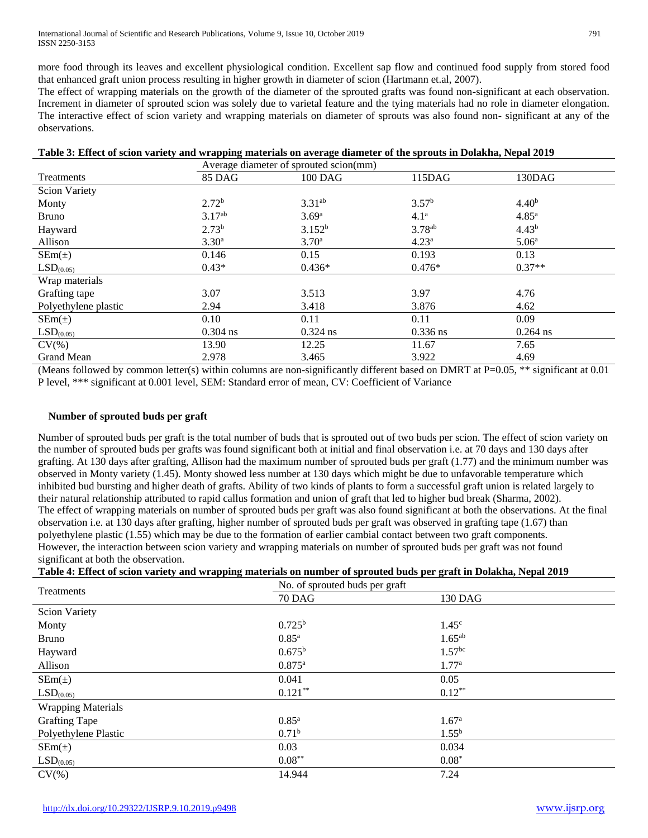International Journal of Scientific and Research Publications, Volume 9, Issue 10, October 2019 791 ISSN 2250-3153

more food through its leaves and excellent physiological condition. Excellent sap flow and continued food supply from stored food that enhanced graft union process resulting in higher growth in diameter of scion (Hartmann et.al, 2007).

The effect of wrapping materials on the growth of the diameter of the sprouted grafts was found non-significant at each observation. Increment in diameter of sprouted scion was solely due to varietal feature and the tying materials had no role in diameter elongation. The interactive effect of scion variety and wrapping materials on diameter of sprouts was also found non- significant at any of the observations.

| Table 3: Effect of scion variety and wrapping materials on average diameter of the sprouts in Dolakha, Nepal 2019 |  |  |  |
|-------------------------------------------------------------------------------------------------------------------|--|--|--|
|-------------------------------------------------------------------------------------------------------------------|--|--|--|

|                       | Average diameter of sprouted scion(mm) |                    |                    |                   |
|-----------------------|----------------------------------------|--------------------|--------------------|-------------------|
| Treatments            | <b>85 DAG</b>                          | $100$ DAG          | 115DAG             | 130DAG            |
| <b>Scion Variety</b>  |                                        |                    |                    |                   |
| Monty                 | $2.72^b$                               | $3.31^{ab}$        | 3.57 <sup>b</sup>  | 4.40 <sup>b</sup> |
| <b>Bruno</b>          | 3.17 <sup>ab</sup>                     | 3.69 <sup>a</sup>  | 4.1 <sup>a</sup>   | 4.85 <sup>a</sup> |
| Hayward               | 2.73 <sup>b</sup>                      | 3.152 <sup>b</sup> | 3.78 <sup>ab</sup> | 4.43 <sup>b</sup> |
| Allison               | 3.30 <sup>a</sup>                      | 3.70 <sup>a</sup>  | 4.23 <sup>a</sup>  | 5.06 <sup>a</sup> |
| $SEM(\pm)$            | 0.146                                  | 0.15               | 0.193              | 0.13              |
| LSD <sub>(0.05)</sub> | $0.43*$                                | $0.436*$           | $0.476*$           | $0.37**$          |
| Wrap materials        |                                        |                    |                    |                   |
| Grafting tape         | 3.07                                   | 3.513              | 3.97               | 4.76              |
| Polyethylene plastic  | 2.94                                   | 3.418              | 3.876              | 4.62              |
| $SEM(\pm)$            | 0.10                                   | 0.11               | 0.11               | 0.09              |
| LSD <sub>(0.05)</sub> | $0.304$ ns                             | $0.324$ ns         | $0.336$ ns         | $0.264$ ns        |
| $CV(\%)$              | 13.90                                  | 12.25              | 11.67              | 7.65              |
| <b>Grand Mean</b>     | 2.978                                  | 3.465              | 3.922              | 4.69              |

(Means followed by common letter(s) within columns are non-significantly different based on DMRT at P=0.05, \*\* significant at 0.01 P level, \*\*\* significant at 0.001 level, SEM: Standard error of mean, CV: Coefficient of Variance

#### **Number of sprouted buds per graft**

Number of sprouted buds per graft is the total number of buds that is sprouted out of two buds per scion. The effect of scion variety on the number of sprouted buds per grafts was found significant both at initial and final observation i.e. at 70 days and 130 days after grafting. At 130 days after grafting, Allison had the maximum number of sprouted buds per graft (1.77) and the minimum number was observed in Monty variety (1.45). Monty showed less number at 130 days which might be due to unfavorable temperature which inhibited bud bursting and higher death of grafts. Ability of two kinds of plants to form a successful graft union is related largely to their natural relationship attributed to rapid callus formation and union of graft that led to higher bud break (Sharma, 2002). The effect of wrapping materials on number of sprouted buds per graft was also found significant at both the observations. At the final observation i.e. at 130 days after grafting, higher number of sprouted buds per graft was observed in grafting tape (1.67) than polyethylene plastic (1.55) which may be due to the formation of earlier cambial contact between two graft components. However, the interaction between scion variety and wrapping materials on number of sprouted buds per graft was not found significant at both the observation.

| Treatments                | No. of sprouted buds per graft |                    |  |  |
|---------------------------|--------------------------------|--------------------|--|--|
|                           | <b>70 DAG</b>                  | 130 DAG            |  |  |
| <b>Scion Variety</b>      |                                |                    |  |  |
| Monty                     | $0.725^{b}$                    | 1.45 <sup>c</sup>  |  |  |
| <b>Bruno</b>              | $0.85^{\rm a}$                 | $1.65^{ab}$        |  |  |
| Hayward                   | $0.675^{\rm b}$                | 1.57 <sup>bc</sup> |  |  |
| Allison                   | $0.875^{\rm a}$                | 1.77 <sup>a</sup>  |  |  |
| $SEM(\pm)$                | 0.041                          | 0.05               |  |  |
| LSD <sub>(0.05)</sub>     | $0.121***$                     | $0.12***$          |  |  |
| <b>Wrapping Materials</b> |                                |                    |  |  |
| <b>Grafting Tape</b>      | $0.85^{\rm a}$                 | 1.67 <sup>a</sup>  |  |  |
| Polyethylene Plastic      | 0.71 <sup>b</sup>              | $1.55^{b}$         |  |  |
| $SEM(\pm)$                | 0.03                           | 0.034              |  |  |
| LSD <sub>(0.05)</sub>     | $0.08***$                      | $0.08*$            |  |  |
| $CV(\% )$                 | 14.944                         | 7.24               |  |  |

#### **Table 4: Effect of scion variety and wrapping materials on number of sprouted buds per graft in Dolakha, Nepal 2019**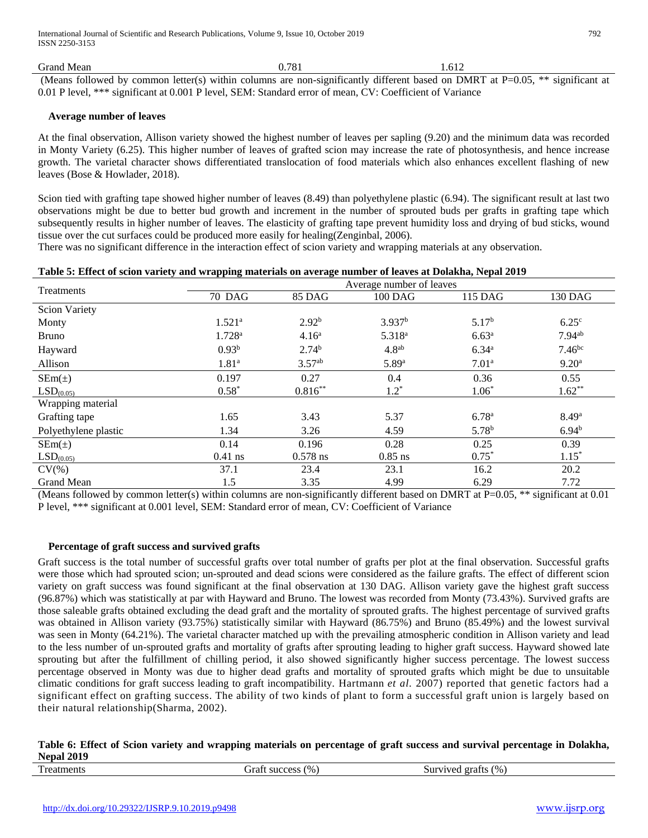Grand Mean 1.612

(Means followed by common letter(s) within columns are non-significantly different based on DMRT at  $P=0.05$ , \*\* significant at 0.01 P level, \*\*\* significant at 0.001 P level, SEM: Standard error of mean, CV: Coefficient of Variance

## **Average number of leaves**

At the final observation, Allison variety showed the highest number of leaves per sapling (9.20) and the minimum data was recorded in Monty Variety (6.25). This higher number of leaves of grafted scion may increase the rate of photosynthesis, and hence increase growth. The varietal character shows differentiated translocation of food materials which also enhances excellent flashing of new leaves (Bose & Howlader, 2018).

Scion tied with grafting tape showed higher number of leaves (8.49) than polyethylene plastic (6.94). The significant result at last two observations might be due to better bud growth and increment in the number of sprouted buds per grafts in grafting tape which subsequently results in higher number of leaves. The elasticity of grafting tape prevent humidity loss and drying of bud sticks, wound tissue over the cut surfaces could be produced more easily for healing(Zenginbal, 2006).

There was no significant difference in the interaction effect of scion variety and wrapping materials at any observation.

|  |  |  | Table 5: Effect of scion variety and wrapping materials on average number of leaves at Dolakha, Nepal 2019 |  |  |
|--|--|--|------------------------------------------------------------------------------------------------------------|--|--|
|--|--|--|------------------------------------------------------------------------------------------------------------|--|--|

| Treatments            | Average number of leaves |                    |                    |                   |                      |
|-----------------------|--------------------------|--------------------|--------------------|-------------------|----------------------|
|                       | <b>70 DAG</b>            | <b>85 DAG</b>      | $100$ DAG          | 115 DAG           | 130 DAG              |
| <b>Scion Variety</b>  |                          |                    |                    |                   |                      |
| Monty                 | 1.521 <sup>a</sup>       | $2.92^{b}$         | 3.937 <sup>b</sup> | 5.17 <sup>b</sup> | $6.25^{\circ}$       |
| <b>Bruno</b>          | 1.728 <sup>a</sup>       | 4.16 <sup>a</sup>  | 5.318 <sup>a</sup> | 6.63 <sup>a</sup> | $7.94$ <sup>ab</sup> |
| Hayward               | 0.93 <sup>b</sup>        | 2.74 <sup>b</sup>  | 4.8 <sup>ab</sup>  | $6.34^{a}$        | 7.46 <sup>bc</sup>   |
| Allison               | 1.81 <sup>a</sup>        | 3.57 <sup>ab</sup> | 5.89a              | 7.01 <sup>a</sup> | 9.20 <sup>a</sup>    |
| $SEM(\pm)$            | 0.197                    | 0.27               | 0.4                | 0.36              | 0.55                 |
| LSD <sub>(0.05)</sub> | $0.58*$                  | $0.816***$         | $1.2^*$            | $1.06*$           | $1.62**$             |
| Wrapping material     |                          |                    |                    |                   |                      |
| Grafting tape         | 1.65                     | 3.43               | 5.37               | 6.78 <sup>a</sup> | 8.49 <sup>a</sup>    |
| Polyethylene plastic  | 1.34                     | 3.26               | 4.59               | 5.78 <sup>b</sup> | 6.94 <sup>b</sup>    |
| $SEM(\pm)$            | 0.14                     | 0.196              | 0.28               | 0.25              | 0.39                 |
| LSD <sub>(0.05)</sub> | $0.41$ ns                | $0.578$ ns         | $0.85$ ns          | $0.75*$           | $1.15*$              |
| $CV(\%)$              | 37.1                     | 23.4               | 23.1               | 16.2              | 20.2                 |
| Grand Mean            | 1.5                      | 3.35               | 4.99               | 6.29              | 7.72                 |

(Means followed by common letter(s) within columns are non-significantly different based on DMRT at P=0.05, \*\* significant at 0.01 P level, \*\*\* significant at 0.001 level, SEM: Standard error of mean, CV: Coefficient of Variance

#### **Percentage of graft success and survived grafts**

Graft success is the total number of successful grafts over total number of grafts per plot at the final observation. Successful grafts were those which had sprouted scion; un-sprouted and dead scions were considered as the failure grafts. The effect of different scion variety on graft success was found significant at the final observation at 130 DAG. Allison variety gave the highest graft success (96.87%) which was statistically at par with Hayward and Bruno. The lowest was recorded from Monty (73.43%). Survived grafts are those saleable grafts obtained excluding the dead graft and the mortality of sprouted grafts. The highest percentage of survived grafts was obtained in Allison variety (93.75%) statistically similar with Hayward (86.75%) and Bruno (85.49%) and the lowest survival was seen in Monty (64.21%). The varietal character matched up with the prevailing atmospheric condition in Allison variety and lead to the less number of un-sprouted grafts and mortality of grafts after sprouting leading to higher graft success. Hayward showed late sprouting but after the fulfillment of chilling period, it also showed significantly higher success percentage. The lowest success percentage observed in Monty was due to higher dead grafts and mortality of sprouted grafts which might be due to unsuitable climatic conditions for graft success leading to graft incompatibility. Hartmann *et al*. 2007) reported that genetic factors had a significant effect on grafting success. The ability of two kinds of plant to form a successful graft union is largely based on their natural relationship(Sharma, 2002).

## **Table 6: Effect of Scion variety and wrapping materials on percentage of graft success and survival percentage in Dolakha, Nepal 2019**

| m<br>(9/6)<br>(96)<br>success<br>5urvived<br>Treatments<br>graft<br>irat<br>. |  |
|-------------------------------------------------------------------------------|--|
|-------------------------------------------------------------------------------|--|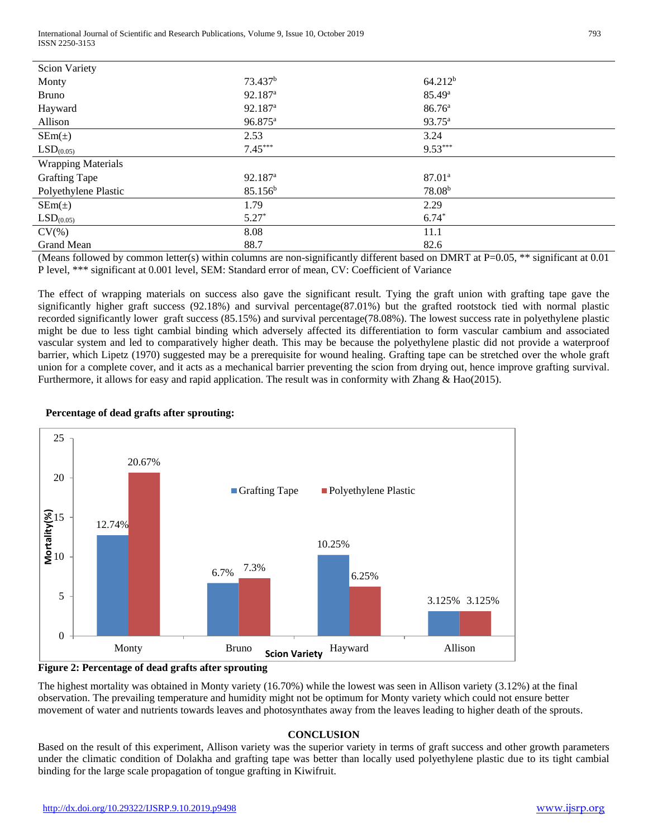International Journal of Scientific and Research Publications, Volume 9, Issue 10, October 2019 793 ISSN 2250-3153

| <b>Scion Variety</b>      |                     |                    |
|---------------------------|---------------------|--------------------|
| Monty                     | 73.437 <sup>b</sup> | $64.212^{b}$       |
| <b>Bruno</b>              | 92.187 <sup>a</sup> | 85.49 <sup>a</sup> |
| Hayward                   | 92.187 <sup>a</sup> | 86.76 <sup>a</sup> |
| Allison                   | 96.875 <sup>a</sup> | 93.75 <sup>a</sup> |
| $SEm(\pm)$                | 2.53                | 3.24               |
| LSD <sub>(0.05)</sub>     | $7.45***$           | $9.53***$          |
| <b>Wrapping Materials</b> |                     |                    |
| <b>Grafting Tape</b>      | 92.187 <sup>a</sup> | $87.01^{\circ}$    |
| Polyethylene Plastic      | 85.156 <sup>b</sup> | 78.08 <sup>b</sup> |
| $SEm(\pm)$                | 1.79                | 2.29               |
| LSD <sub>(0.05)</sub>     | $5.27*$             | $6.74*$            |
| $CV(\%)$                  | 8.08                | 11.1               |
| Grand Mean                | 88.7                | 82.6               |

(Means followed by common letter(s) within columns are non-significantly different based on DMRT at P=0.05, \*\* significant at 0.01 P level, \*\*\* significant at 0.001 level, SEM: Standard error of mean, CV: Coefficient of Variance

The effect of wrapping materials on success also gave the significant result. Tying the graft union with grafting tape gave the significantly higher graft success (92.18%) and survival percentage(87.01%) but the grafted rootstock tied with normal plastic recorded significantly lower graft success (85.15%) and survival percentage(78.08%). The lowest success rate in polyethylene plastic might be due to less tight cambial binding which adversely affected its differentiation to form vascular cambium and associated vascular system and led to comparatively higher death. This may be because the polyethylene plastic did not provide a waterproof barrier, which Lipetz (1970) suggested may be a prerequisite for wound healing. Grafting tape can be stretched over the whole graft union for a complete cover, and it acts as a mechanical barrier preventing the scion from drying out, hence improve grafting survival. Furthermore, it allows for easy and rapid application. The result was in conformity with Zhang & Hao(2015).

# **Percentage of dead grafts after sprouting:**



**Figure 2: Percentage of dead grafts after sprouting**

The highest mortality was obtained in Monty variety (16.70%) while the lowest was seen in Allison variety (3.12%) at the final observation. The prevailing temperature and humidity might not be optimum for Monty variety which could not ensure better movement of water and nutrients towards leaves and photosynthates away from the leaves leading to higher death of the sprouts.

## **CONCLUSION**

Based on the result of this experiment, Allison variety was the superior variety in terms of graft success and other growth parameters under the climatic condition of Dolakha and grafting tape was better than locally used polyethylene plastic due to its tight cambial binding for the large scale propagation of tongue grafting in Kiwifruit.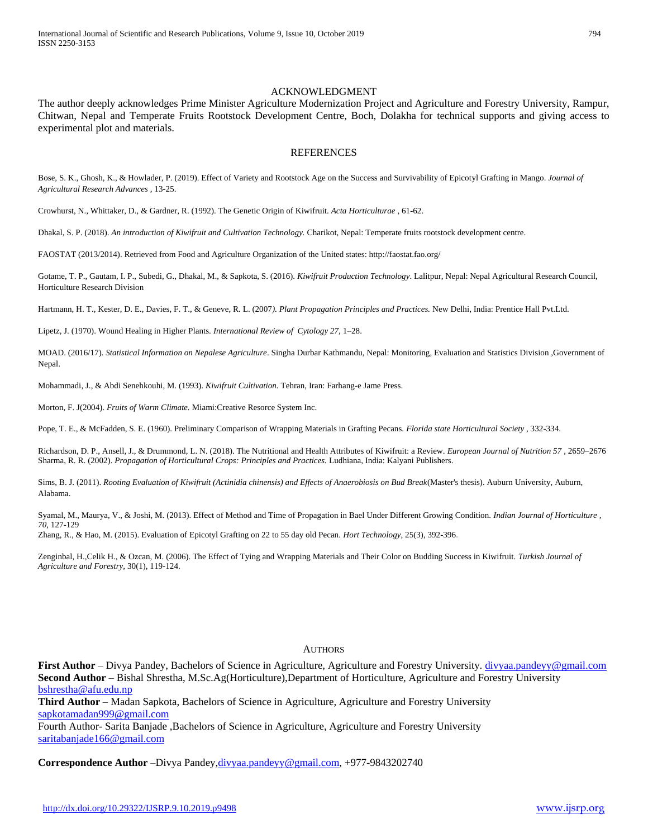# ACKNOWLEDGMENT

The author deeply acknowledges Prime Minister Agriculture Modernization Project and Agriculture and Forestry University, Rampur, Chitwan, Nepal and Temperate Fruits Rootstock Development Centre, Boch, Dolakha for technical supports and giving access to experimental plot and materials.

#### **REFERENCES**

Bose, S. K., Ghosh, K., & Howlader, P. (2019). Effect of Variety and Rootstock Age on the Success and Survivability of Epicotyl Grafting in Mango. *Journal of Agricultural Research Advances* , 13-25.

Crowhurst, N., Whittaker, D., & Gardner, R. (1992). The Genetic Origin of Kiwifruit. *Acta Horticulturae* , 61-62.

Dhakal, S. P. (2018). *An introduction of Kiwifruit and Cultivation Technology.* Charikot, Nepal: Temperate fruits rootstock development centre.

FAOSTAT (2013/2014). Retrieved from Food and Agriculture Organization of the United states: http://faostat.fao.org/

Gotame, T. P., Gautam, I. P., Subedi, G., Dhakal, M., & Sapkota, S. (2016). *Kiwifruit Production Technology*. Lalitpur, Nepal: Nepal Agricultural Research Council, Horticulture Research Division

Hartmann, H. T., Kester, D. E., Davies, F. T., & Geneve, R. L. (2007*). Plant Propagation Principles and Practices.* New Delhi, India: Prentice Hall Pvt.Ltd.

Lipetz, J. (1970). Wound Healing in Higher Plants. *International Review of Cytology 27,* 1–28.

MOAD. (2016/17)*. Statistical Information on Nepalese Agriculture*. Singha Durbar Kathmandu, Nepal: Monitoring, Evaluation and Statistics Division ,Government of Nepal.

Mohammadi, J., & Abdi Senehkouhi, M. (1993). *Kiwifruit Cultivation.* Tehran, Iran: Farhang-e Jame Press.

Morton, F. J(2004). *Fruits of Warm Climate.* Miami:Creative Resorce System Inc.

Pope, T. E., & McFadden, S. E. (1960). Preliminary Comparison of Wrapping Materials in Grafting Pecans. *Florida state Horticultural Society* , 332-334.

Richardson, D. P., Ansell, J., & Drummond, L. N. (2018). The Nutritional and Health Attributes of Kiwifruit: a Review. *European Journal of Nutrition 57* , 2659–2676 Sharma, R. R. (2002). *Propagation of Horticultural Crops: Principles and Practices.* Ludhiana, India: Kalyani Publishers.

Sims, B. J. (2011). *Rooting Evaluation of Kiwifruit (Actinidia chinensis) and Effects of Anaerobiosis on Bud Break*(Master's thesis). Auburn University, Auburn, Alabama.

Syamal, M., Maurya, V., & Joshi, M. (2013). Effect of Method and Time of Propagation in Bael Under Different Growing Condition. *Indian Journal of Horticulture , 70*, 127-129

Zhang, R., & Hao, M. (2015). Evaluation of Epicotyl Grafting on 22 to 55 day old Pecan. *Hort Technology*, 25(3), 392-396.

Zenginbal, H.,Celik H., & Ozcan, M. (2006). The Effect of Tying and Wrapping Materials and Their Color on Budding Success in Kiwifruit. *Turkish Journal of Agriculture and Forestry,* 30(1), 119-124.

#### **AUTHORS**

**First Author** – Divya Pandey, Bachelors of Science in Agriculture, Agriculture and Forestry University.<divyaa.pandeyy@gmail.com> **Second Author** – Bishal Shrestha, M.Sc.Ag(Horticulture),Department of Horticulture, Agriculture and Forestry University <bshrestha@afu.edu.np>

**Third Author** – Madan Sapkota, Bachelors of Science in Agriculture, Agriculture and Forestry University <sapkotamadan999@gmail.com>

Fourth Author- Sarita Banjade ,Bachelors of Science in Agriculture, Agriculture and Forestry University [saritabanjade166@gmail.com](saritabanjade166@gmail.com%20)

**Correspondence Author** –Divya Pandey[,divyaa.pandeyy@gmail.com,](divyaa.pandeyy@gmail.com) +977-9843202740